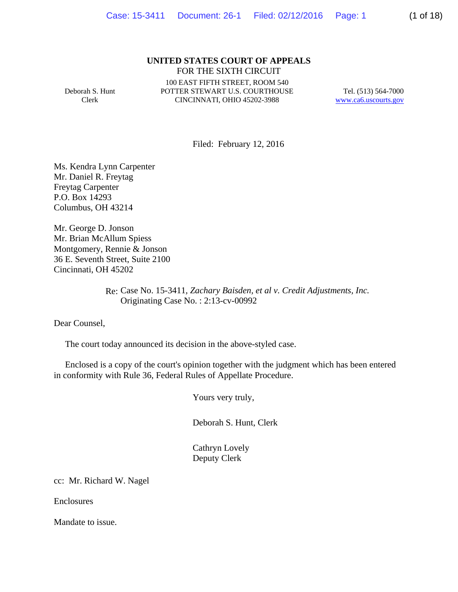### **UNITED STATES COURT OF APPEALS** FOR THE SIXTH CIRCUIT

Deborah S. Hunt Clerk

100 EAST FIFTH STREET, ROOM 540 POTTER STEWART U.S. COURTHOUSE CINCINNATI, OHIO 45202-3988

Tel. (513) 564-7000 www.ca6.uscourts.gov

Filed: February 12, 2016

Ms. Kendra Lynn Carpenter Mr. Daniel R. Freytag Freytag Carpenter P.O. Box 14293 Columbus, OH 43214

Mr. George D. Jonson Mr. Brian McAllum Spiess Montgomery, Rennie & Jonson 36 E. Seventh Street, Suite 2100 Cincinnati, OH 45202

> Re: Case No. 15-3411*, Zachary Baisden, et al v. Credit Adjustments, Inc.* Originating Case No. : 2:13-cv-00992

Dear Counsel,

The court today announced its decision in the above-styled case.

 Enclosed is a copy of the court's opinion together with the judgment which has been entered in conformity with Rule 36, Federal Rules of Appellate Procedure.

Yours very truly,

Deborah S. Hunt, Clerk

 Cathryn Lovely Deputy Clerk

cc: Mr. Richard W. Nagel

Enclosures

Mandate to issue.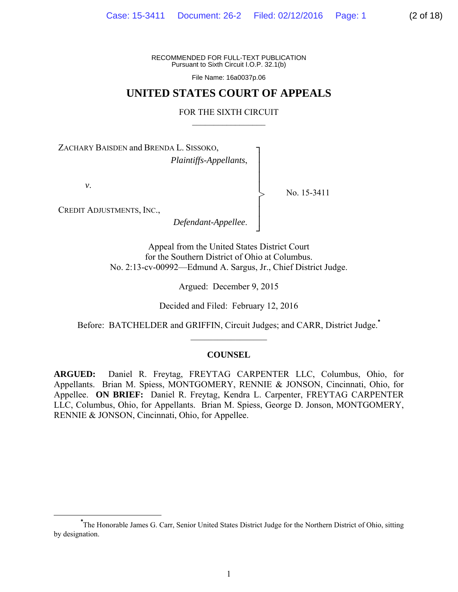RECOMMENDED FOR FULL-TEXT PUBLICATION Pursuant to Sixth Circuit I.O.P. 32.1(b)

File Name: 16a0037p.06

# **UNITED STATES COURT OF APPEALS**

### FOR THE SIXTH CIRCUIT  $\mathcal{L}_\text{max}$

┐ │ │ │ │ │ │ │ ┘

>

ZACHARY BAISDEN and BRENDA L. SISSOKO,

*Plaintiffs-Appellants*,

*v*.

No. 15-3411

CREDIT ADJUSTMENTS, INC.,

*Defendant-Appellee*.

Appeal from the United States District Court for the Southern District of Ohio at Columbus. No. 2:13-cv-00992—Edmund A. Sargus, Jr., Chief District Judge.

Argued: December 9, 2015

Decided and Filed: February 12, 2016

Before: BATCHELDER and GRIFFIN, Circuit Judges; and CARR, District Judge.**\***  $\frac{1}{2}$  ,  $\frac{1}{2}$  ,  $\frac{1}{2}$  ,  $\frac{1}{2}$  ,  $\frac{1}{2}$  ,  $\frac{1}{2}$  ,  $\frac{1}{2}$  ,  $\frac{1}{2}$  ,  $\frac{1}{2}$ 

### **COUNSEL**

**ARGUED:** Daniel R. Freytag, FREYTAG CARPENTER LLC, Columbus, Ohio, for Appellants. Brian M. Spiess, MONTGOMERY, RENNIE & JONSON, Cincinnati, Ohio, for Appellee. **ON BRIEF:** Daniel R. Freytag, Kendra L. Carpenter, FREYTAG CARPENTER LLC, Columbus, Ohio, for Appellants. Brian M. Spiess, George D. Jonson, MONTGOMERY, RENNIE & JONSON, Cincinnati, Ohio, for Appellee.

**\*** The Honorable James G. Carr, Senior United States District Judge for the Northern District of Ohio, sitting by designation.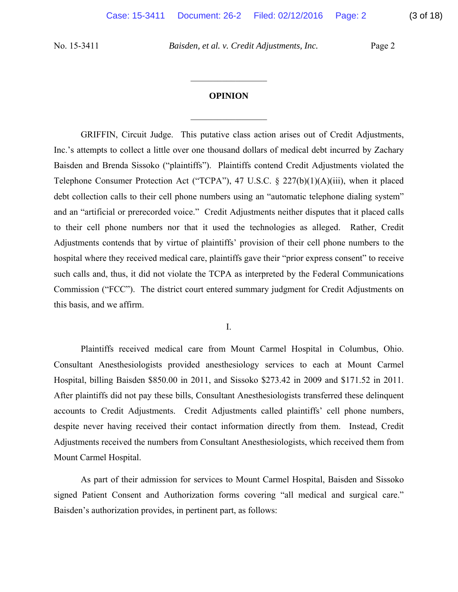### **OPINION**

 $\frac{1}{2}$ 

 $\frac{1}{2}$ 

GRIFFIN, Circuit Judge. This putative class action arises out of Credit Adjustments, Inc.'s attempts to collect a little over one thousand dollars of medical debt incurred by Zachary Baisden and Brenda Sissoko ("plaintiffs"). Plaintiffs contend Credit Adjustments violated the Telephone Consumer Protection Act ("TCPA"), 47 U.S.C. § 227(b)(1)(A)(iii), when it placed debt collection calls to their cell phone numbers using an "automatic telephone dialing system" and an "artificial or prerecorded voice." Credit Adjustments neither disputes that it placed calls to their cell phone numbers nor that it used the technologies as alleged. Rather, Credit Adjustments contends that by virtue of plaintiffs' provision of their cell phone numbers to the hospital where they received medical care, plaintiffs gave their "prior express consent" to receive such calls and, thus, it did not violate the TCPA as interpreted by the Federal Communications Commission ("FCC"). The district court entered summary judgment for Credit Adjustments on this basis, and we affirm.

I.

 Plaintiffs received medical care from Mount Carmel Hospital in Columbus, Ohio. Consultant Anesthesiologists provided anesthesiology services to each at Mount Carmel Hospital, billing Baisden \$850.00 in 2011, and Sissoko \$273.42 in 2009 and \$171.52 in 2011. After plaintiffs did not pay these bills, Consultant Anesthesiologists transferred these delinquent accounts to Credit Adjustments. Credit Adjustments called plaintiffs' cell phone numbers, despite never having received their contact information directly from them. Instead, Credit Adjustments received the numbers from Consultant Anesthesiologists, which received them from Mount Carmel Hospital.

 As part of their admission for services to Mount Carmel Hospital, Baisden and Sissoko signed Patient Consent and Authorization forms covering "all medical and surgical care." Baisden's authorization provides, in pertinent part, as follows: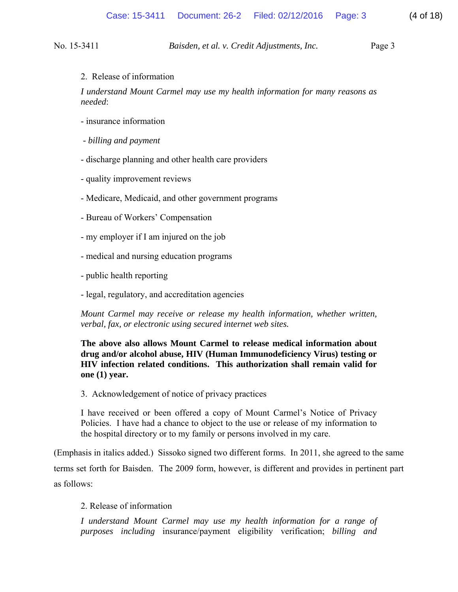2. Release of information

*I understand Mount Carmel may use my health information for many reasons as needed*:

- insurance information
- *billing and payment*
- discharge planning and other health care providers
- quality improvement reviews
- Medicare, Medicaid, and other government programs
- Bureau of Workers' Compensation
- my employer if I am injured on the job
- medical and nursing education programs
- public health reporting
- legal, regulatory, and accreditation agencies

*Mount Carmel may receive or release my health information, whether written, verbal, fax, or electronic using secured internet web sites.* 

**The above also allows Mount Carmel to release medical information about drug and/or alcohol abuse, HIV (Human Immunodeficiency Virus) testing or HIV infection related conditions. This authorization shall remain valid for one (1) year.** 

3. Acknowledgement of notice of privacy practices

I have received or been offered a copy of Mount Carmel's Notice of Privacy Policies. I have had a chance to object to the use or release of my information to the hospital directory or to my family or persons involved in my care.

(Emphasis in italics added.) Sissoko signed two different forms. In 2011, she agreed to the same terms set forth for Baisden. The 2009 form, however, is different and provides in pertinent part as follows:

### 2. Release of information

*I understand Mount Carmel may use my health information for a range of purposes including* insurance/payment eligibility verification; *billing and*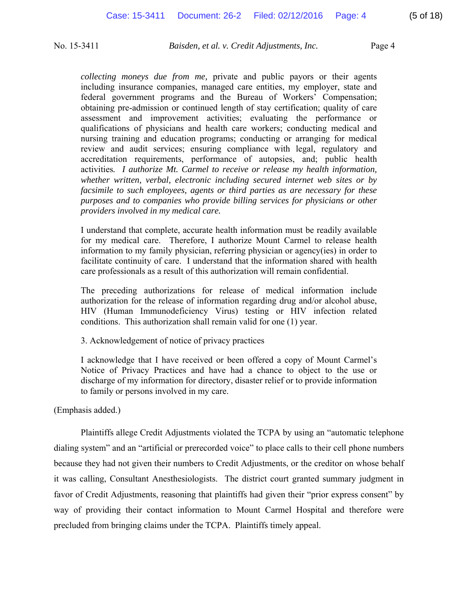*collecting moneys due from me,* private and public payors or their agents including insurance companies, managed care entities, my employer, state and federal government programs and the Bureau of Workers' Compensation; obtaining pre-admission or continued length of stay certification; quality of care assessment and improvement activities; evaluating the performance or qualifications of physicians and health care workers; conducting medical and nursing training and education programs; conducting or arranging for medical review and audit services; ensuring compliance with legal, regulatory and accreditation requirements, performance of autopsies, and; public health activities*. I authorize Mt. Carmel to receive or release my health information, whether written, verbal, electronic including secured internet web sites or by facsimile to such employees, agents or third parties as are necessary for these purposes and to companies who provide billing services for physicians or other providers involved in my medical care.* 

I understand that complete, accurate health information must be readily available for my medical care. Therefore, I authorize Mount Carmel to release health information to my family physician, referring physician or agency(ies) in order to facilitate continuity of care. I understand that the information shared with health care professionals as a result of this authorization will remain confidential.

The preceding authorizations for release of medical information include authorization for the release of information regarding drug and/or alcohol abuse, HIV (Human Immunodeficiency Virus) testing or HIV infection related conditions. This authorization shall remain valid for one (1) year.

3. Acknowledgement of notice of privacy practices

I acknowledge that I have received or been offered a copy of Mount Carmel's Notice of Privacy Practices and have had a chance to object to the use or discharge of my information for directory, disaster relief or to provide information to family or persons involved in my care.

(Emphasis added.)

 Plaintiffs allege Credit Adjustments violated the TCPA by using an "automatic telephone dialing system" and an "artificial or prerecorded voice" to place calls to their cell phone numbers because they had not given their numbers to Credit Adjustments, or the creditor on whose behalf it was calling, Consultant Anesthesiologists. The district court granted summary judgment in favor of Credit Adjustments, reasoning that plaintiffs had given their "prior express consent" by way of providing their contact information to Mount Carmel Hospital and therefore were precluded from bringing claims under the TCPA. Plaintiffs timely appeal.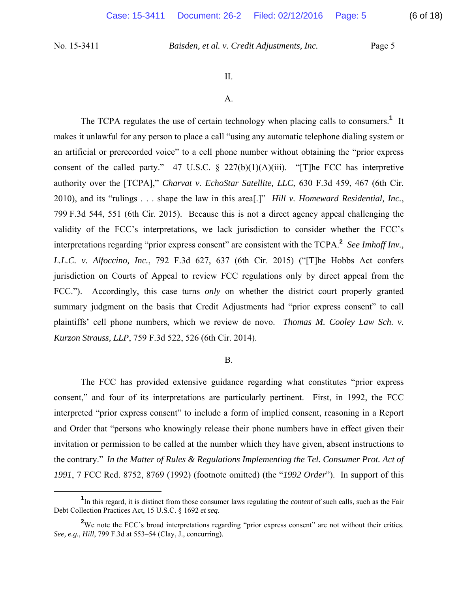#### II.

#### A.

The TCPA regulates the use of certain technology when placing calls to consumers.<sup>1</sup> It makes it unlawful for any person to place a call "using any automatic telephone dialing system or an artificial or prerecorded voice" to a cell phone number without obtaining the "prior express consent of the called party." 47 U.S.C.  $\S$  227(b)(1)(A)(iii). "[T]he FCC has interpretive authority over the [TCPA]," *Charvat v. EchoStar Satellite, LLC*, 630 F.3d 459, 467 (6th Cir. 2010), and its "rulings . . . shape the law in this area[.]" *Hill v. Homeward Residential, Inc.*, 799 F.3d 544, 551 (6th Cir. 2015). Because this is not a direct agency appeal challenging the validity of the FCC's interpretations, we lack jurisdiction to consider whether the FCC's interpretations regarding "prior express consent" are consistent with the TCPA.**<sup>2</sup>** *See Imhoff Inv., L.L.C. v. Alfoccino, Inc.*, 792 F.3d 627, 637 (6th Cir. 2015) ("[T]he Hobbs Act confers jurisdiction on Courts of Appeal to review FCC regulations only by direct appeal from the FCC."). Accordingly, this case turns *only* on whether the district court properly granted summary judgment on the basis that Credit Adjustments had "prior express consent" to call plaintiffs' cell phone numbers, which we review de novo. *Thomas M. Cooley Law Sch. v. Kurzon Strauss, LLP*, 759 F.3d 522, 526 (6th Cir. 2014).

#### B.

 The FCC has provided extensive guidance regarding what constitutes "prior express consent," and four of its interpretations are particularly pertinent. First, in 1992, the FCC interpreted "prior express consent" to include a form of implied consent, reasoning in a Report and Order that "persons who knowingly release their phone numbers have in effect given their invitation or permission to be called at the number which they have given, absent instructions to the contrary." *In the Matter of Rules & Regulations Implementing the Tel. Consumer Prot. Act of 1991*, 7 FCC Rcd. 8752, 8769 (1992) (footnote omitted) (the "*1992 Order*"). In support of this

 $\frac{1}{1}$ In this regard, it is distinct from those consumer laws regulating the *content* of such calls, such as the Fair Debt Collection Practices Act, 15 U.S.C. § 1692 *et seq.*

<sup>&</sup>lt;sup>2</sup>We note the FCC's broad interpretations regarding "prior express consent" are not without their critics. *See, e.g., Hill*, 799 F.3d at 553–54 (Clay, J., concurring).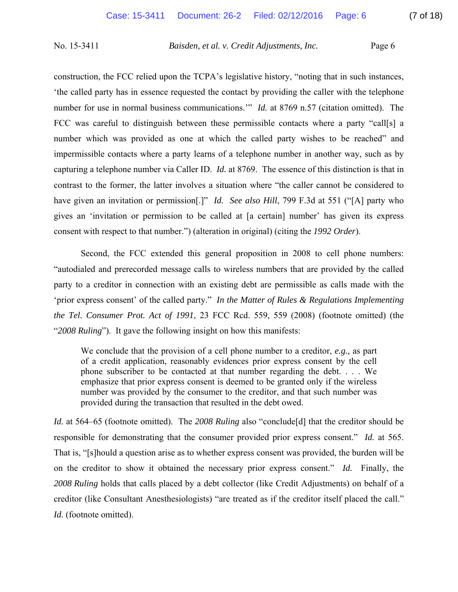construction, the FCC relied upon the TCPA's legislative history, "noting that in such instances, 'the called party has in essence requested the contact by providing the caller with the telephone number for use in normal business communications." *Id.* at 8769 n.57 (citation omitted). The FCC was careful to distinguish between these permissible contacts where a party "call[s] a number which was provided as one at which the called party wishes to be reached" and impermissible contacts where a party learns of a telephone number in another way, such as by capturing a telephone number via Caller ID. *Id.* at 8769. The essence of this distinction is that in contrast to the former, the latter involves a situation where "the caller cannot be considered to have given an invitation or permission[.]" *Id. See also Hill*, 799 F.3d at 551 ("[A] party who gives an 'invitation or permission to be called at [a certain] number' has given its express consent with respect to that number.") (alteration in original) (citing the *1992 Order*).

Second, the FCC extended this general proposition in 2008 to cell phone numbers: "autodialed and prerecorded message calls to wireless numbers that are provided by the called party to a creditor in connection with an existing debt are permissible as calls made with the 'prior express consent' of the called party." *In the Matter of Rules & Regulations Implementing the Tel. Consumer Prot. Act of 1991*, 23 FCC Rcd. 559, 559 (2008) (footnote omitted) (the "*2008 Ruling*"). It gave the following insight on how this manifests:

We conclude that the provision of a cell phone number to a creditor, *e.g.,* as part of a credit application, reasonably evidences prior express consent by the cell phone subscriber to be contacted at that number regarding the debt. . . . We emphasize that prior express consent is deemed to be granted only if the wireless number was provided by the consumer to the creditor, and that such number was provided during the transaction that resulted in the debt owed.

*Id.* at 564–65 (footnote omitted). The 2008 Ruling also "conclude [d] that the creditor should be responsible for demonstrating that the consumer provided prior express consent." *Id.* at 565. That is, "[s]hould a question arise as to whether express consent was provided, the burden will be on the creditor to show it obtained the necessary prior express consent." *Id.* Finally, the *2008 Ruling* holds that calls placed by a debt collector (like Credit Adjustments) on behalf of a creditor (like Consultant Anesthesiologists) "are treated as if the creditor itself placed the call." *Id.* (footnote omitted).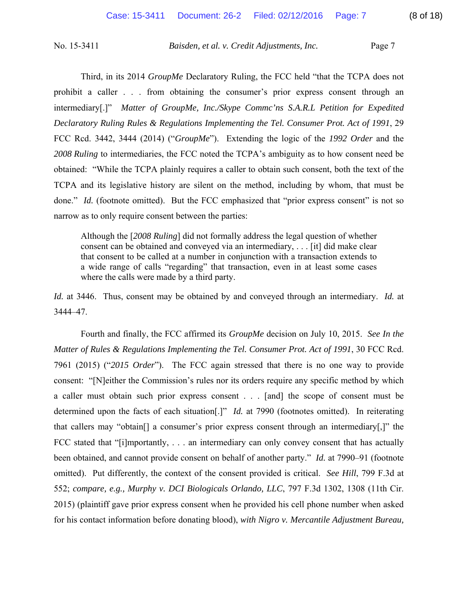Third, in its 2014 *GroupMe* Declaratory Ruling, the FCC held "that the TCPA does not prohibit a caller . . . from obtaining the consumer's prior express consent through an intermediary[.]" *Matter of GroupMe, Inc./Skype Commc'ns S.A.R.L Petition for Expedited Declaratory Ruling Rules & Regulations Implementing the Tel. Consumer Prot. Act of 1991*, 29 FCC Rcd. 3442, 3444 (2014) ("*GroupMe*"). Extending the logic of the *1992 Order* and the *2008 Ruling* to intermediaries, the FCC noted the TCPA's ambiguity as to how consent need be obtained: "While the TCPA plainly requires a caller to obtain such consent, both the text of the TCPA and its legislative history are silent on the method, including by whom, that must be done." *Id.* (footnote omitted). But the FCC emphasized that "prior express consent" is not so narrow as to only require consent between the parties:

Although the [*2008 Ruling*] did not formally address the legal question of whether consent can be obtained and conveyed via an intermediary, . . . [it] did make clear that consent to be called at a number in conjunction with a transaction extends to a wide range of calls "regarding" that transaction, even in at least some cases where the calls were made by a third party.

*Id.* at 3446. Thus, consent may be obtained by and conveyed through an intermediary. *Id.* at 3444–47.

 Fourth and finally, the FCC affirmed its *GroupMe* decision on July 10, 2015. *See In the Matter of Rules & Regulations Implementing the Tel. Consumer Prot. Act of 1991*, 30 FCC Rcd. 7961 (2015) ("*2015 Order*"). The FCC again stressed that there is no one way to provide consent: "[N]either the Commission's rules nor its orders require any specific method by which a caller must obtain such prior express consent . . . [and] the scope of consent must be determined upon the facts of each situation[.]" *Id.* at 7990 (footnotes omitted). In reiterating that callers may "obtain[] a consumer's prior express consent through an intermediary[,]" the FCC stated that "[i]mportantly, ... an intermediary can only convey consent that has actually been obtained, and cannot provide consent on behalf of another party." *Id.* at 7990–91 (footnote omitted). Put differently, the context of the consent provided is critical. *See Hill*, 799 F.3d at 552; *compare, e.g., Murphy v. DCI Biologicals Orlando, LLC*, 797 F.3d 1302, 1308 (11th Cir. 2015) (plaintiff gave prior express consent when he provided his cell phone number when asked for his contact information before donating blood), *with Nigro v. Mercantile Adjustment Bureau,*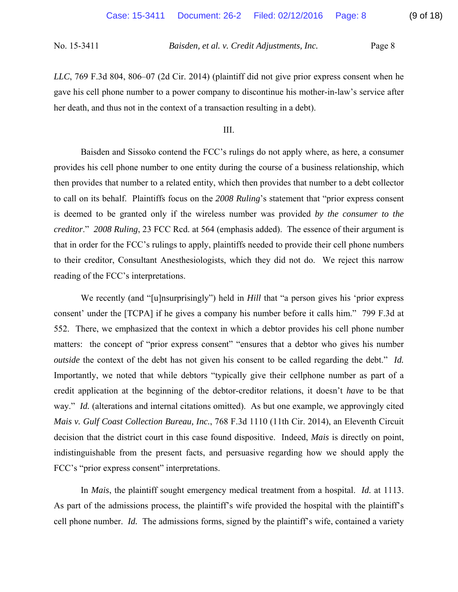*LLC*, 769 F.3d 804, 806–07 (2d Cir. 2014) (plaintiff did not give prior express consent when he gave his cell phone number to a power company to discontinue his mother-in-law's service after her death, and thus not in the context of a transaction resulting in a debt).

III.

 Baisden and Sissoko contend the FCC's rulings do not apply where, as here, a consumer provides his cell phone number to one entity during the course of a business relationship, which then provides that number to a related entity, which then provides that number to a debt collector to call on its behalf. Plaintiffs focus on the *2008 Ruling*'s statement that "prior express consent is deemed to be granted only if the wireless number was provided *by the consumer to the creditor*." *2008 Ruling*, 23 FCC Rcd. at 564 (emphasis added). The essence of their argument is that in order for the FCC's rulings to apply, plaintiffs needed to provide their cell phone numbers to their creditor, Consultant Anesthesiologists, which they did not do. We reject this narrow reading of the FCC's interpretations.

We recently (and "[u]nsurprisingly") held in *Hill* that "a person gives his 'prior express consent' under the [TCPA] if he gives a company his number before it calls him." 799 F.3d at 552. There, we emphasized that the context in which a debtor provides his cell phone number matters: the concept of "prior express consent" "ensures that a debtor who gives his number *outside* the context of the debt has not given his consent to be called regarding the debt." *Id.* Importantly, we noted that while debtors "typically give their cellphone number as part of a credit application at the beginning of the debtor-creditor relations, it doesn't *have* to be that way." *Id.* (alterations and internal citations omitted). As but one example, we approvingly cited *Mais v. Gulf Coast Collection Bureau, Inc.*, 768 F.3d 1110 (11th Cir. 2014), an Eleventh Circuit decision that the district court in this case found dispositive. Indeed, *Mais* is directly on point, indistinguishable from the present facts, and persuasive regarding how we should apply the FCC's "prior express consent" interpretations.

In *Mais*, the plaintiff sought emergency medical treatment from a hospital. *Id.* at 1113. As part of the admissions process, the plaintiff's wife provided the hospital with the plaintiff's cell phone number. *Id.* The admissions forms, signed by the plaintiff's wife, contained a variety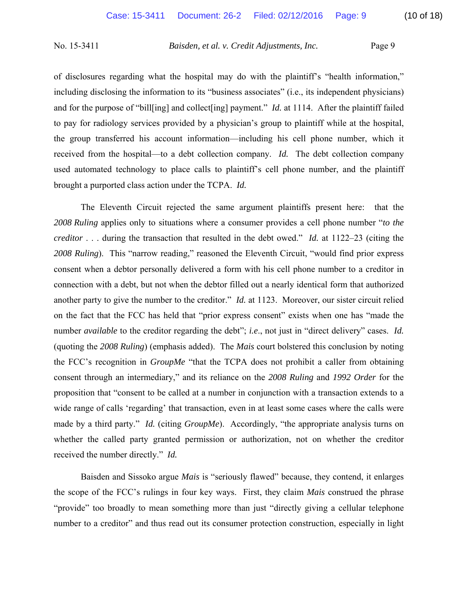of disclosures regarding what the hospital may do with the plaintiff's "health information," including disclosing the information to its "business associates" (i.e., its independent physicians) and for the purpose of "bill[ing] and collect[ing] payment." *Id.* at 1114. After the plaintiff failed to pay for radiology services provided by a physician's group to plaintiff while at the hospital, the group transferred his account information—including his cell phone number, which it received from the hospital—to a debt collection company. *Id.* The debt collection company used automated technology to place calls to plaintiff's cell phone number, and the plaintiff brought a purported class action under the TCPA. *Id.* 

The Eleventh Circuit rejected the same argument plaintiffs present here: that the *2008 Ruling* applies only to situations where a consumer provides a cell phone number "*to the creditor* . . . during the transaction that resulted in the debt owed." *Id.* at 1122–23 (citing the *2008 Ruling*). This "narrow reading," reasoned the Eleventh Circuit, "would find prior express consent when a debtor personally delivered a form with his cell phone number to a creditor in connection with a debt, but not when the debtor filled out a nearly identical form that authorized another party to give the number to the creditor." *Id.* at 1123. Moreover, our sister circuit relied on the fact that the FCC has held that "prior express consent" exists when one has "made the number *available* to the creditor regarding the debt"; *i.e*., not just in "direct delivery" cases. *Id.* (quoting the *2008 Ruling*) (emphasis added). The *Mais* court bolstered this conclusion by noting the FCC's recognition in *GroupMe* "that the TCPA does not prohibit a caller from obtaining consent through an intermediary," and its reliance on the *2008 Ruling* and *1992 Order* for the proposition that "consent to be called at a number in conjunction with a transaction extends to a wide range of calls 'regarding' that transaction, even in at least some cases where the calls were made by a third party." *Id.* (citing *GroupMe*). Accordingly, "the appropriate analysis turns on whether the called party granted permission or authorization, not on whether the creditor received the number directly." *Id.*

Baisden and Sissoko argue *Mais* is "seriously flawed" because, they contend, it enlarges the scope of the FCC's rulings in four key ways. First, they claim *Mais* construed the phrase "provide" too broadly to mean something more than just "directly giving a cellular telephone number to a creditor" and thus read out its consumer protection construction, especially in light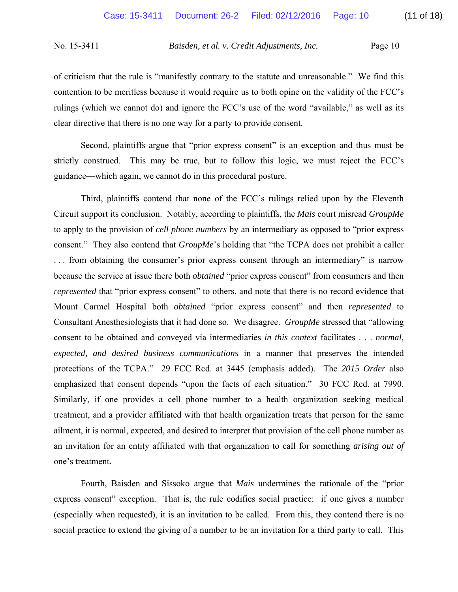of criticism that the rule is "manifestly contrary to the statute and unreasonable." We find this contention to be meritless because it would require us to both opine on the validity of the FCC's rulings (which we cannot do) and ignore the FCC's use of the word "available," as well as its clear directive that there is no one way for a party to provide consent.

Second, plaintiffs argue that "prior express consent" is an exception and thus must be strictly construed. This may be true, but to follow this logic, we must reject the FCC's guidance—which again, we cannot do in this procedural posture.

 Third, plaintiffs contend that none of the FCC's rulings relied upon by the Eleventh Circuit support its conclusion. Notably, according to plaintiffs, the *Mais* court misread *GroupMe* to apply to the provision of *cell phone numbers* by an intermediary as opposed to "prior express consent." They also contend that *GroupMe*'s holding that "the TCPA does not prohibit a caller . . . from obtaining the consumer's prior express consent through an intermediary" is narrow because the service at issue there both *obtained* "prior express consent" from consumers and then *represented* that "prior express consent" to others, and note that there is no record evidence that Mount Carmel Hospital both *obtained* "prior express consent" and then *represented* to Consultant Anesthesiologists that it had done so. We disagree. *GroupMe* stressed that "allowing consent to be obtained and conveyed via intermediaries *in this context* facilitates . . . *normal, expected, and desired business communications* in a manner that preserves the intended protections of the TCPA." 29 FCC Rcd. at 3445 (emphasis added). The *2015 Order* also emphasized that consent depends "upon the facts of each situation." 30 FCC Rcd. at 7990. Similarly, if one provides a cell phone number to a health organization seeking medical treatment, and a provider affiliated with that health organization treats that person for the same ailment, it is normal, expected, and desired to interpret that provision of the cell phone number as an invitation for an entity affiliated with that organization to call for something *arising out of*  one's treatment.

 Fourth, Baisden and Sissoko argue that *Mais* undermines the rationale of the "prior express consent" exception. That is, the rule codifies social practice: if one gives a number (especially when requested), it is an invitation to be called. From this, they contend there is no social practice to extend the giving of a number to be an invitation for a third party to call. This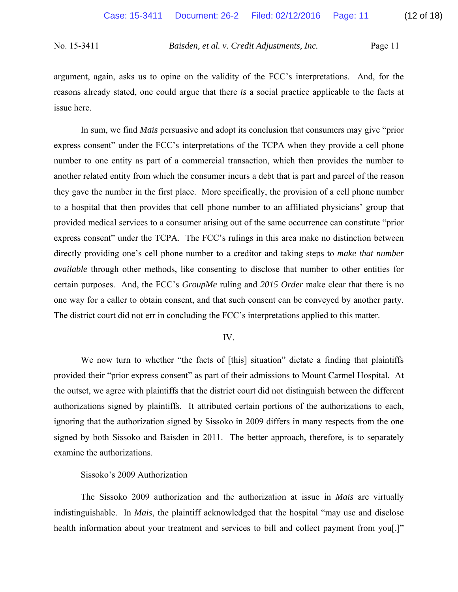argument, again, asks us to opine on the validity of the FCC's interpretations. And, for the reasons already stated, one could argue that there *is* a social practice applicable to the facts at issue here.

 In sum, we find *Mais* persuasive and adopt its conclusion that consumers may give "prior express consent" under the FCC's interpretations of the TCPA when they provide a cell phone number to one entity as part of a commercial transaction, which then provides the number to another related entity from which the consumer incurs a debt that is part and parcel of the reason they gave the number in the first place. More specifically, the provision of a cell phone number to a hospital that then provides that cell phone number to an affiliated physicians' group that provided medical services to a consumer arising out of the same occurrence can constitute "prior express consent" under the TCPA. The FCC's rulings in this area make no distinction between directly providing one's cell phone number to a creditor and taking steps to *make that number available* through other methods, like consenting to disclose that number to other entities for certain purposes. And, the FCC's *GroupMe* ruling and *2015 Order* make clear that there is no one way for a caller to obtain consent, and that such consent can be conveyed by another party. The district court did not err in concluding the FCC's interpretations applied to this matter.

## IV.

We now turn to whether "the facts of [this] situation" dictate a finding that plaintiffs provided their "prior express consent" as part of their admissions to Mount Carmel Hospital. At the outset, we agree with plaintiffs that the district court did not distinguish between the different authorizations signed by plaintiffs. It attributed certain portions of the authorizations to each, ignoring that the authorization signed by Sissoko in 2009 differs in many respects from the one signed by both Sissoko and Baisden in 2011. The better approach, therefore, is to separately examine the authorizations.

### Sissoko's 2009 Authorization

 The Sissoko 2009 authorization and the authorization at issue in *Mais* are virtually indistinguishable. In *Mais*, the plaintiff acknowledged that the hospital "may use and disclose health information about your treatment and services to bill and collect payment from you[.]"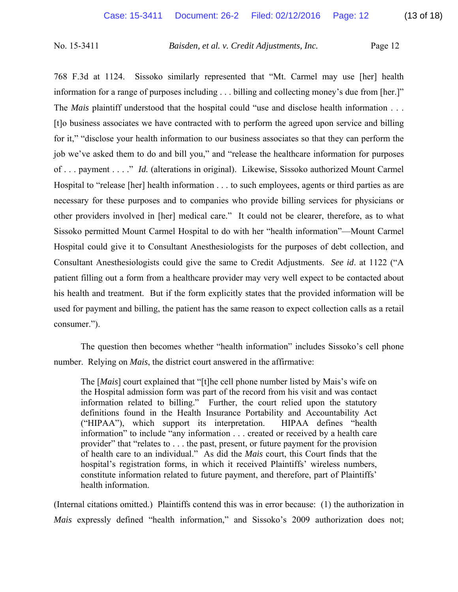768 F.3d at 1124. Sissoko similarly represented that "Mt. Carmel may use [her] health information for a range of purposes including . . . billing and collecting money's due from [her.]" The *Mais* plaintiff understood that the hospital could "use and disclose health information . . . [t]o business associates we have contracted with to perform the agreed upon service and billing for it," "disclose your health information to our business associates so that they can perform the job we've asked them to do and bill you," and "release the healthcare information for purposes of . . . payment . . . ." *Id.* (alterations in original). Likewise, Sissoko authorized Mount Carmel Hospital to "release [her] health information . . . to such employees, agents or third parties as are necessary for these purposes and to companies who provide billing services for physicians or other providers involved in [her] medical care." It could not be clearer, therefore, as to what Sissoko permitted Mount Carmel Hospital to do with her "health information"—Mount Carmel Hospital could give it to Consultant Anesthesiologists for the purposes of debt collection, and Consultant Anesthesiologists could give the same to Credit Adjustments. *See id*. at 1122 ("A patient filling out a form from a healthcare provider may very well expect to be contacted about his health and treatment. But if the form explicitly states that the provided information will be used for payment and billing, the patient has the same reason to expect collection calls as a retail consumer.").

 The question then becomes whether "health information" includes Sissoko's cell phone number. Relying on *Mais*, the district court answered in the affirmative:

The [*Mais*] court explained that "[t]he cell phone number listed by Mais's wife on the Hospital admission form was part of the record from his visit and was contact information related to billing." Further, the court relied upon the statutory definitions found in the Health Insurance Portability and Accountability Act ("HIPAA"), which support its interpretation. HIPAA defines "health information" to include "any information . . . created or received by a health care provider" that "relates to . . . the past, present, or future payment for the provision of health care to an individual." As did the *Mais* court, this Court finds that the hospital's registration forms, in which it received Plaintiffs' wireless numbers, constitute information related to future payment, and therefore, part of Plaintiffs' health information.

(Internal citations omitted.) Plaintiffs contend this was in error because: (1) the authorization in *Mais* expressly defined "health information," and Sissoko's 2009 authorization does not;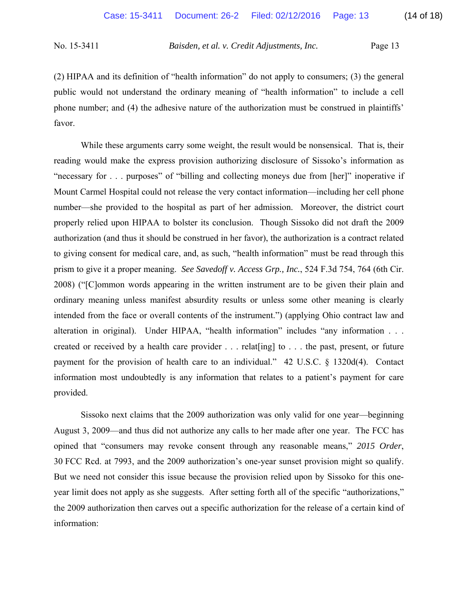(2) HIPAA and its definition of "health information" do not apply to consumers; (3) the general public would not understand the ordinary meaning of "health information" to include a cell phone number; and (4) the adhesive nature of the authorization must be construed in plaintiffs' favor.

While these arguments carry some weight, the result would be nonsensical. That is, their reading would make the express provision authorizing disclosure of Sissoko's information as "necessary for . . . purposes" of "billing and collecting moneys due from [her]" inoperative if Mount Carmel Hospital could not release the very contact information—including her cell phone number—she provided to the hospital as part of her admission. Moreover, the district court properly relied upon HIPAA to bolster its conclusion. Though Sissoko did not draft the 2009 authorization (and thus it should be construed in her favor), the authorization is a contract related to giving consent for medical care, and, as such, "health information" must be read through this prism to give it a proper meaning. *See Savedoff v. Access Grp., Inc.*, 524 F.3d 754, 764 (6th Cir. 2008) ("[C]ommon words appearing in the written instrument are to be given their plain and ordinary meaning unless manifest absurdity results or unless some other meaning is clearly intended from the face or overall contents of the instrument.") (applying Ohio contract law and alteration in original). Under HIPAA, "health information" includes "any information . . . created or received by a health care provider . . . relat[ing] to . . . the past, present, or future payment for the provision of health care to an individual." 42 U.S.C. § 1320d(4). Contact information most undoubtedly is any information that relates to a patient's payment for care provided.

Sissoko next claims that the 2009 authorization was only valid for one year—beginning August 3, 2009—and thus did not authorize any calls to her made after one year. The FCC has opined that "consumers may revoke consent through any reasonable means," *2015 Order*, 30 FCC Rcd. at 7993, and the 2009 authorization's one-year sunset provision might so qualify. But we need not consider this issue because the provision relied upon by Sissoko for this oneyear limit does not apply as she suggests. After setting forth all of the specific "authorizations," the 2009 authorization then carves out a specific authorization for the release of a certain kind of information: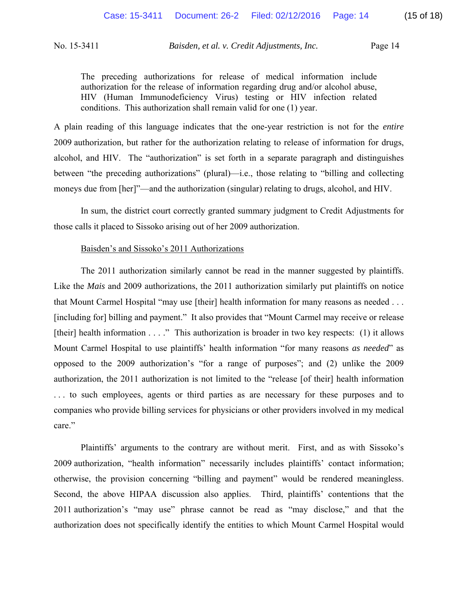The preceding authorizations for release of medical information include authorization for the release of information regarding drug and/or alcohol abuse, HIV (Human Immunodeficiency Virus) testing or HIV infection related conditions. This authorization shall remain valid for one (1) year.

A plain reading of this language indicates that the one-year restriction is not for the *entire* 2009 authorization, but rather for the authorization relating to release of information for drugs, alcohol, and HIV. The "authorization" is set forth in a separate paragraph and distinguishes between "the preceding authorizations" (plural)—i.e., those relating to "billing and collecting moneys due from [her]"—and the authorization (singular) relating to drugs, alcohol, and HIV.

 In sum, the district court correctly granted summary judgment to Credit Adjustments for those calls it placed to Sissoko arising out of her 2009 authorization.

### Baisden's and Sissoko's 2011 Authorizations

The 2011 authorization similarly cannot be read in the manner suggested by plaintiffs. Like the *Mais* and 2009 authorizations, the 2011 authorization similarly put plaintiffs on notice that Mount Carmel Hospital "may use [their] health information for many reasons as needed . . . [including for] billing and payment." It also provides that "Mount Carmel may receive or release [their] health information . . . ." This authorization is broader in two key respects: (1) it allows Mount Carmel Hospital to use plaintiffs' health information "for many reasons *as needed*" as opposed to the 2009 authorization's "for a range of purposes"; and (2) unlike the 2009 authorization, the 2011 authorization is not limited to the "release [of their] health information . . . to such employees, agents or third parties as are necessary for these purposes and to companies who provide billing services for physicians or other providers involved in my medical care."

Plaintiffs' arguments to the contrary are without merit. First, and as with Sissoko's 2009 authorization, "health information" necessarily includes plaintiffs' contact information; otherwise, the provision concerning "billing and payment" would be rendered meaningless. Second, the above HIPAA discussion also applies. Third, plaintiffs' contentions that the 2011 authorization's "may use" phrase cannot be read as "may disclose," and that the authorization does not specifically identify the entities to which Mount Carmel Hospital would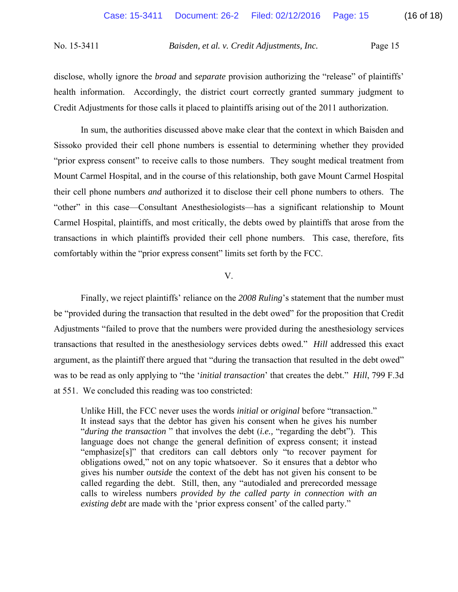disclose, wholly ignore the *broad* and *separate* provision authorizing the "release" of plaintiffs' health information. Accordingly, the district court correctly granted summary judgment to Credit Adjustments for those calls it placed to plaintiffs arising out of the 2011 authorization.

In sum, the authorities discussed above make clear that the context in which Baisden and Sissoko provided their cell phone numbers is essential to determining whether they provided "prior express consent" to receive calls to those numbers. They sought medical treatment from Mount Carmel Hospital, and in the course of this relationship, both gave Mount Carmel Hospital their cell phone numbers *and* authorized it to disclose their cell phone numbers to others. The "other" in this case—Consultant Anesthesiologists—has a significant relationship to Mount Carmel Hospital, plaintiffs, and most critically, the debts owed by plaintiffs that arose from the transactions in which plaintiffs provided their cell phone numbers. This case, therefore, fits comfortably within the "prior express consent" limits set forth by the FCC.

## V.

Finally, we reject plaintiffs' reliance on the *2008 Ruling*'s statement that the number must be "provided during the transaction that resulted in the debt owed" for the proposition that Credit Adjustments "failed to prove that the numbers were provided during the anesthesiology services transactions that resulted in the anesthesiology services debts owed." *Hill* addressed this exact argument, as the plaintiff there argued that "during the transaction that resulted in the debt owed" was to be read as only applying to "the '*initial transaction*' that creates the debt." *Hill*, 799 F.3d at 551. We concluded this reading was too constricted:

Unlike Hill, the FCC never uses the words *initial* or *original* before "transaction." It instead says that the debtor has given his consent when he gives his number "*during the transaction* " that involves the debt (*i.e.,* "regarding the debt"). This language does not change the general definition of express consent; it instead "emphasize[s]" that creditors can call debtors only "to recover payment for obligations owed," not on any topic whatsoever. So it ensures that a debtor who gives his number *outside* the context of the debt has not given his consent to be called regarding the debt. Still, then, any "autodialed and prerecorded message calls to wireless numbers *provided by the called party in connection with an existing debt* are made with the 'prior express consent' of the called party."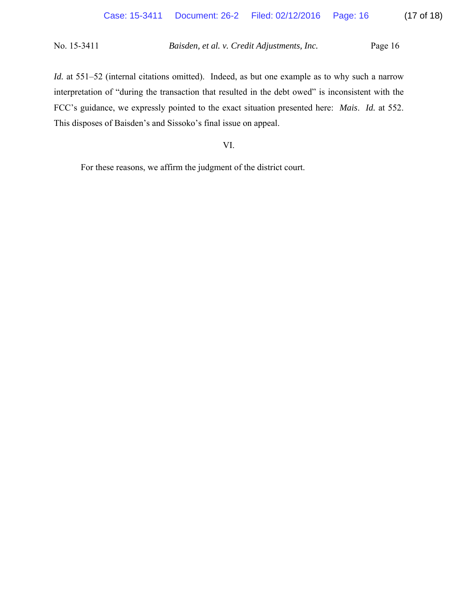*Id.* at 551–52 (internal citations omitted). Indeed, as but one example as to why such a narrow interpretation of "during the transaction that resulted in the debt owed" is inconsistent with the FCC's guidance, we expressly pointed to the exact situation presented here: *Mais*. *Id.* at 552. This disposes of Baisden's and Sissoko's final issue on appeal.

# VI.

For these reasons, we affirm the judgment of the district court.